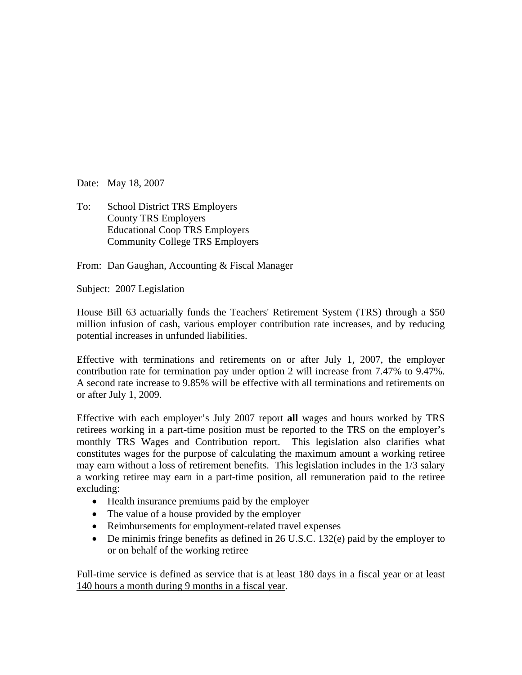Date: May 18, 2007

To: School District TRS Employers County TRS Employers Educational Coop TRS Employers Community College TRS Employers

From: Dan Gaughan, Accounting & Fiscal Manager

Subject: 2007 Legislation

House Bill 63 actuarially funds the Teachers' Retirement System (TRS) through a \$50 million infusion of cash, various employer contribution rate increases, and by reducing potential increases in unfunded liabilities.

Effective with terminations and retirements on or after July 1, 2007, the employer contribution rate for termination pay under option 2 will increase from 7.47% to 9.47%. A second rate increase to 9.85% will be effective with all terminations and retirements on or after July 1, 2009.

Effective with each employer's July 2007 report **all** wages and hours worked by TRS retirees working in a part-time position must be reported to the TRS on the employer's monthly TRS Wages and Contribution report. This legislation also clarifies what constitutes wages for the purpose of calculating the maximum amount a working retiree may earn without a loss of retirement benefits. This legislation includes in the 1/3 salary a working retiree may earn in a part-time position, all remuneration paid to the retiree excluding:

- Health insurance premiums paid by the employer
- The value of a house provided by the employer
- Reimbursements for employment-related travel expenses
- De minimis fringe benefits as defined in 26 U.S.C. 132(e) paid by the employer to or on behalf of the working retiree

Full-time service is defined as service that is at least 180 days in a fiscal year or at least 140 hours a month during 9 months in a fiscal year.